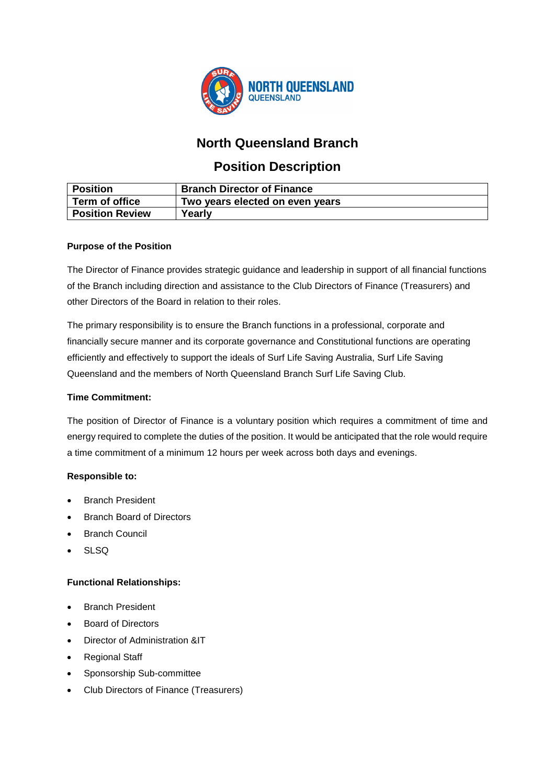

# **North Queensland Branch**

# **Position Description**

| <b>Position</b>        | <b>Branch Director of Finance</b> |
|------------------------|-----------------------------------|
| Term of office         | Two years elected on even years   |
| <b>Position Review</b> | Yearly                            |

## **Purpose of the Position**

The Director of Finance provides strategic guidance and leadership in support of all financial functions of the Branch including direction and assistance to the Club Directors of Finance (Treasurers) and other Directors of the Board in relation to their roles.

The primary responsibility is to ensure the Branch functions in a professional, corporate and financially secure manner and its corporate governance and Constitutional functions are operating efficiently and effectively to support the ideals of Surf Life Saving Australia, Surf Life Saving Queensland and the members of North Queensland Branch Surf Life Saving Club.

### **Time Commitment:**

The position of Director of Finance is a voluntary position which requires a commitment of time and energy required to complete the duties of the position. It would be anticipated that the role would require a time commitment of a minimum 12 hours per week across both days and evenings.

## **Responsible to:**

- **Branch President**
- Branch Board of Directors
- Branch Council
- SLSQ

## **Functional Relationships:**

- Branch President
- Board of Directors
- Director of Administration &IT
- Regional Staff
- Sponsorship Sub-committee
- Club Directors of Finance (Treasurers)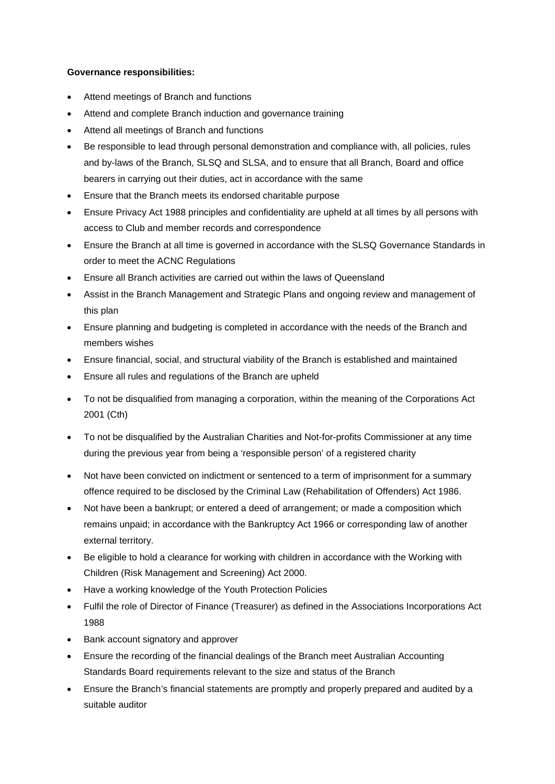#### **Governance responsibilities:**

- Attend meetings of Branch and functions
- Attend and complete Branch induction and governance training
- Attend all meetings of Branch and functions
- Be responsible to lead through personal demonstration and compliance with, all policies, rules and by-laws of the Branch, SLSQ and SLSA, and to ensure that all Branch, Board and office bearers in carrying out their duties, act in accordance with the same
- Ensure that the Branch meets its endorsed charitable purpose
- Ensure Privacy Act 1988 principles and confidentiality are upheld at all times by all persons with access to Club and member records and correspondence
- Ensure the Branch at all time is governed in accordance with the SLSQ Governance Standards in order to meet the ACNC Regulations
- Ensure all Branch activities are carried out within the laws of Queensland
- Assist in the Branch Management and Strategic Plans and ongoing review and management of this plan
- Ensure planning and budgeting is completed in accordance with the needs of the Branch and members wishes
- Ensure financial, social, and structural viability of the Branch is established and maintained
- Ensure all rules and regulations of the Branch are upheld
- To not be disqualified from managing a corporation, within the meaning of the Corporations Act 2001 (Cth)
- To not be disqualified by the Australian Charities and Not-for-profits Commissioner at any time during the previous year from being a 'responsible person' of a registered charity
- Not have been convicted on indictment or sentenced to a term of imprisonment for a summary offence required to be disclosed by the Criminal Law (Rehabilitation of Offenders) Act 1986.
- Not have been a bankrupt; or entered a deed of arrangement; or made a composition which remains unpaid; in accordance with the Bankruptcy Act 1966 or corresponding law of another external territory.
- Be eligible to hold a clearance for working with children in accordance with the Working with Children (Risk Management and Screening) Act 2000.
- Have a working knowledge of the Youth Protection Policies
- Fulfil the role of Director of Finance (Treasurer) as defined in the Associations Incorporations Act 1988
- Bank account signatory and approver
- Ensure the recording of the financial dealings of the Branch meet Australian Accounting Standards Board requirements relevant to the size and status of the Branch
- Ensure the Branch's financial statements are promptly and properly prepared and audited by a suitable auditor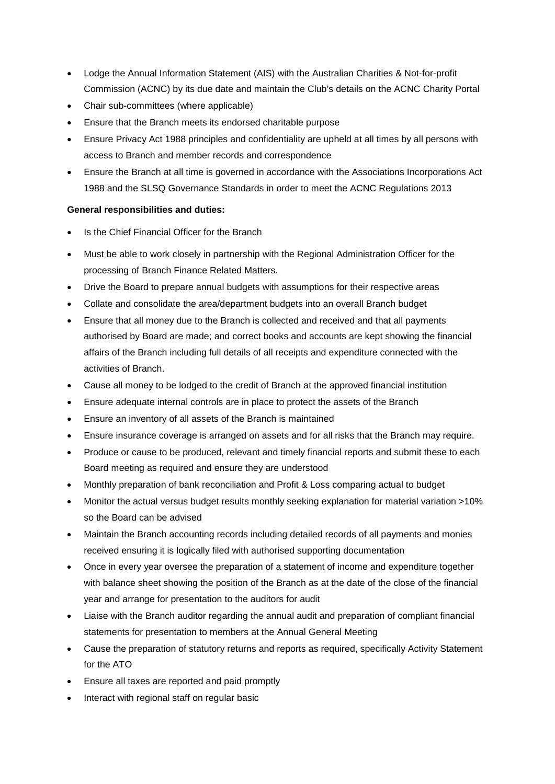- Lodge the Annual Information Statement (AIS) with the Australian Charities & Not-for-profit Commission (ACNC) by its due date and maintain the Club's details on the ACNC Charity Portal
- Chair sub-committees (where applicable)
- Ensure that the Branch meets its endorsed charitable purpose
- Ensure Privacy Act 1988 principles and confidentiality are upheld at all times by all persons with access to Branch and member records and correspondence
- Ensure the Branch at all time is governed in accordance with the Associations Incorporations Act 1988 and the SLSQ Governance Standards in order to meet the ACNC Regulations 2013

## **General responsibilities and duties:**

- Is the Chief Financial Officer for the Branch
- Must be able to work closely in partnership with the Regional Administration Officer for the processing of Branch Finance Related Matters.
- Drive the Board to prepare annual budgets with assumptions for their respective areas
- Collate and consolidate the area/department budgets into an overall Branch budget
- Ensure that all money due to the Branch is collected and received and that all payments authorised by Board are made; and correct books and accounts are kept showing the financial affairs of the Branch including full details of all receipts and expenditure connected with the activities of Branch.
- Cause all money to be lodged to the credit of Branch at the approved financial institution
- Ensure adequate internal controls are in place to protect the assets of the Branch
- Ensure an inventory of all assets of the Branch is maintained
- Ensure insurance coverage is arranged on assets and for all risks that the Branch may require.
- Produce or cause to be produced, relevant and timely financial reports and submit these to each Board meeting as required and ensure they are understood
- Monthly preparation of bank reconciliation and Profit & Loss comparing actual to budget
- Monitor the actual versus budget results monthly seeking explanation for material variation >10% so the Board can be advised
- Maintain the Branch accounting records including detailed records of all payments and monies received ensuring it is logically filed with authorised supporting documentation
- Once in every year oversee the preparation of a statement of income and expenditure together with balance sheet showing the position of the Branch as at the date of the close of the financial year and arrange for presentation to the auditors for audit
- Liaise with the Branch auditor regarding the annual audit and preparation of compliant financial statements for presentation to members at the Annual General Meeting
- Cause the preparation of statutory returns and reports as required, specifically Activity Statement for the ATO
- Ensure all taxes are reported and paid promptly
- Interact with regional staff on regular basic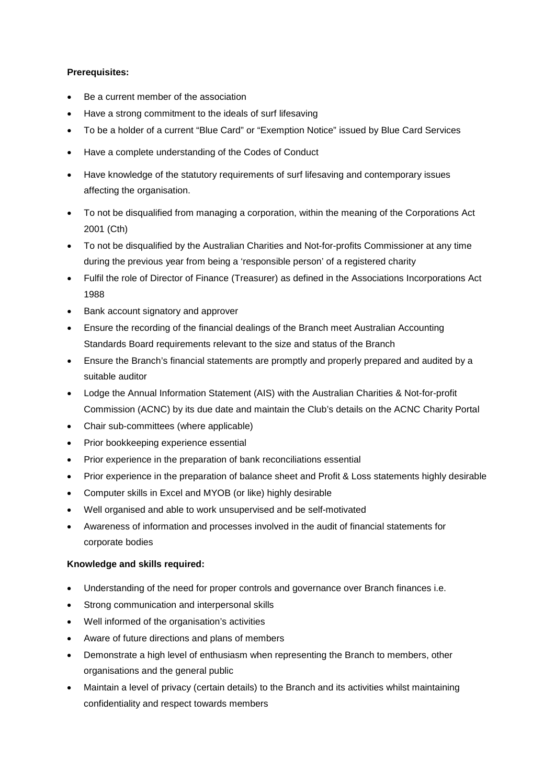### **Prerequisites:**

- Be a current member of the association
- Have a strong commitment to the ideals of surf lifesaving
- To be a holder of a current "Blue Card" or "Exemption Notice" issued by Blue Card Services
- Have a complete understanding of the Codes of Conduct
- Have knowledge of the statutory requirements of surf lifesaving and contemporary issues affecting the organisation.
- To not be disqualified from managing a corporation, within the meaning of the Corporations Act 2001 (Cth)
- To not be disqualified by the Australian Charities and Not-for-profits Commissioner at any time during the previous year from being a 'responsible person' of a registered charity
- Fulfil the role of Director of Finance (Treasurer) as defined in the Associations Incorporations Act 1988
- Bank account signatory and approver
- Ensure the recording of the financial dealings of the Branch meet Australian Accounting Standards Board requirements relevant to the size and status of the Branch
- Ensure the Branch's financial statements are promptly and properly prepared and audited by a suitable auditor
- Lodge the Annual Information Statement (AIS) with the Australian Charities & Not-for-profit Commission (ACNC) by its due date and maintain the Club's details on the ACNC Charity Portal
- Chair sub-committees (where applicable)
- Prior bookkeeping experience essential
- Prior experience in the preparation of bank reconciliations essential
- Prior experience in the preparation of balance sheet and Profit & Loss statements highly desirable
- Computer skills in Excel and MYOB (or like) highly desirable
- Well organised and able to work unsupervised and be self-motivated
- Awareness of information and processes involved in the audit of financial statements for corporate bodies

#### **Knowledge and skills required:**

- Understanding of the need for proper controls and governance over Branch finances i.e.
- Strong communication and interpersonal skills
- Well informed of the organisation's activities
- Aware of future directions and plans of members
- Demonstrate a high level of enthusiasm when representing the Branch to members, other organisations and the general public
- Maintain a level of privacy (certain details) to the Branch and its activities whilst maintaining confidentiality and respect towards members